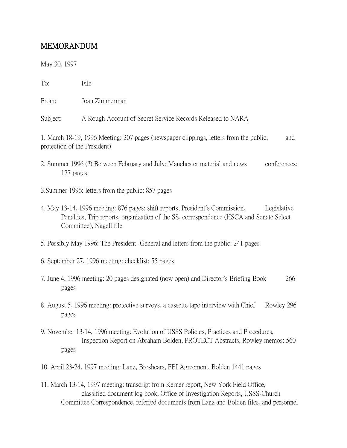## MEMORANDUM

May 30, 1997

To: File

From: Joan Zimmerman

Subject: A Rough Account of Secret Service Records Released to NARA

1. March 18-19, 1996 Meeting: 207 pages (newspaper clippings, letters from the public, and protection of the President)

- 2. Summer 1996 (?) Between February and July: Manchester material and news conferences: 177 pages
- 3.Summer 1996: letters from the public: 857 pages
- 4. May 13-14, 1996 meeting: 876 pages: shift reports, President's Commission, Legislative Penalties, Trip reports, organization of the SS, correspondence (HSCA and Senate Select Committee), Nagell file
- 5. Possibly May 1996: The President -General and letters from the public: 241 pages
- 6. September 27, 1996 meeting: checklist: 55 pages
- 7. June 4, 1996 meeting: 20 pages designated (now open) and Director's Briefing Book 266 pages
- 8. August 5, 1996 meeting: protective surveys, a cassette tape interview with Chief Rowley 296 pages
- 9. November 13-14, 1996 meeting: Evolution of USSS Policies, Practices and Procedures, Inspection Report on Abraham Bolden, PROTECT Abstracts, Rowley memos: 560 pages
- 10. April 23-24, 1997 meeting: Lanz, Broshears, FBI Agreement, Bolden 1441 pages
- 11. March 13-14, 1997 meeting: transcript from Kerner report, New York Field Office, classified document log book, Office of Investigation Reports, USSS-Church Committee Correspondence, referred documents from Lanz and Bolden files, and personnel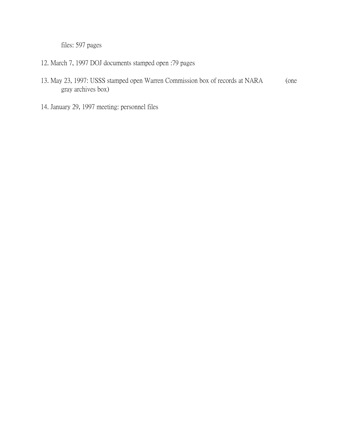files: 597 pages

- 12. March 7, 1997 DOJ documents stamped open :79 pages
- 13. May 23, 1997: USSS stamped open Warren Commission box of records at NARA (one gray archives box)
- 14. January 29, 1997 meeting: personnel files